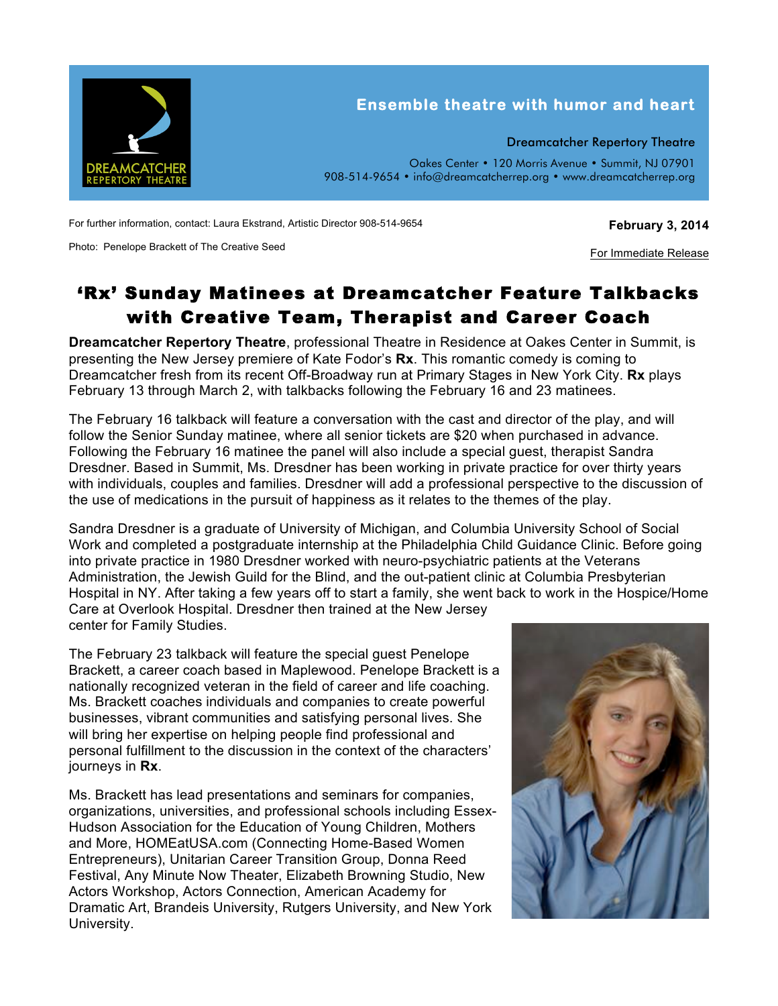

For further information, contact: Laura Ekstrand, Artistic Director 908-514-9654

Photo: Penelope Brackett of The Creative Seed

## **February 3, 2014**

For Immediate Release

## 'Rx' Sunday Matinees at Dreamcatcher Feature Talkbacks with Creative Team, Therapist and Career Coach

**Dreamcatcher Repertory Theatre**, professional Theatre in Residence at Oakes Center in Summit, is presenting the New Jersey premiere of Kate Fodor's **Rx**. This romantic comedy is coming to Dreamcatcher fresh from its recent Off-Broadway run at Primary Stages in New York City. **Rx** plays February 13 through March 2, with talkbacks following the February 16 and 23 matinees.

The February 16 talkback will feature a conversation with the cast and director of the play, and will follow the Senior Sunday matinee, where all senior tickets are \$20 when purchased in advance. Following the February 16 matinee the panel will also include a special guest, therapist Sandra Dresdner. Based in Summit, Ms. Dresdner has been working in private practice for over thirty years with individuals, couples and families. Dresdner will add a professional perspective to the discussion of the use of medications in the pursuit of happiness as it relates to the themes of the play.

Sandra Dresdner is a graduate of University of Michigan, and Columbia University School of Social Work and completed a postgraduate internship at the Philadelphia Child Guidance Clinic. Before going into private practice in 1980 Dresdner worked with neuro-psychiatric patients at the Veterans Administration, the Jewish Guild for the Blind, and the out-patient clinic at Columbia Presbyterian Hospital in NY. After taking a few years off to start a family, she went back to work in the Hospice/Home Care at Overlook Hospital. Dresdner then trained at the New Jersey

center for Family Studies.

The February 23 talkback will feature the special guest Penelope Brackett, a career coach based in Maplewood. Penelope Brackett is a nationally recognized veteran in the field of career and life coaching. Ms. Brackett coaches individuals and companies to create powerful businesses, vibrant communities and satisfying personal lives. She will bring her expertise on helping people find professional and personal fulfillment to the discussion in the context of the characters' journeys in **Rx**.

Ms. Brackett has lead presentations and seminars for companies, organizations, universities, and professional schools including Essex-Hudson Association for the Education of Young Children, Mothers and More, HOMEatUSA.com (Connecting Home-Based Women Entrepreneurs), Unitarian Career Transition Group, Donna Reed Festival, Any Minute Now Theater, Elizabeth Browning Studio, New Actors Workshop, Actors Connection, American Academy for Dramatic Art, Brandeis University, Rutgers University, and New York University.